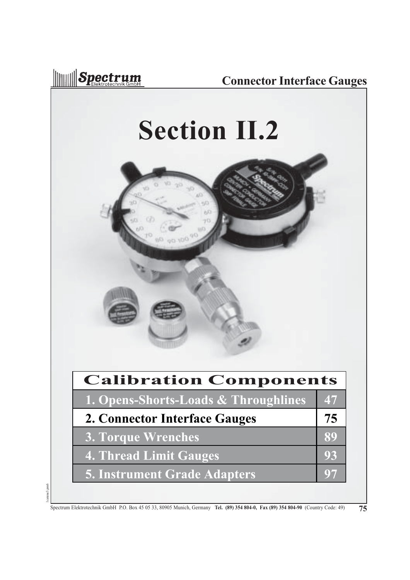

1catene3.pm6

l catene<sub>3</sub>.pm6

#### **Connector Interface Gauges**

# **Section II.2**



| <b>Calibration Components</b>        |    |
|--------------------------------------|----|
| 1. Opens-Shorts-Loads & Throughlines | 47 |
| 2. Connector Interface Gauges        | 75 |
| <b>3. Torque Wrenches</b>            | 89 |
| <b>4. Thread Limit Gauges</b>        | 93 |
| <b>5. Instrument Grade Adapters</b>  |    |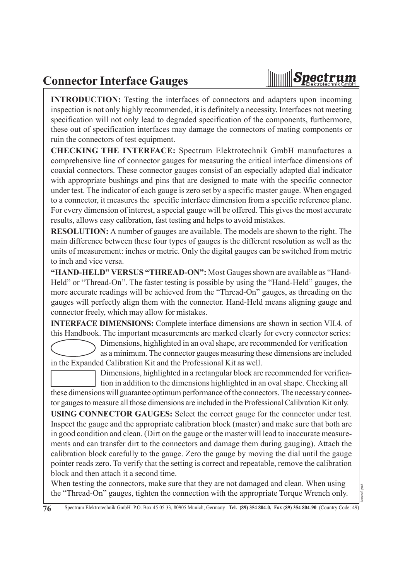#### **Connector Interface Gauges**



1catene3.pm6

**INTRODUCTION:** Testing the interfaces of connectors and adapters upon incoming inspection is not only highly recommended, it is definitely a necessity. Interfaces not meeting specification will not only lead to degraded specification of the components, furthermore, these out of specification interfaces may damage the connectors of mating components or ruin the connectors of test equipment.

**CHECKING THE INTERFACE:** Spectrum Elektrotechnik GmbH manufactures a comprehensive line of connector gauges for measuring the critical interface dimensions of coaxial connectors. These connector gauges consist of an especially adapted dial indicator with appropriate bushings and pins that are designed to mate with the specific connector under test. The indicator of each gauge is zero set by a specific master gauge. When engaged to a connector, it measures the specific interface dimension from a specific reference plane. For every dimension of interest, a special gauge will be offered. This gives the most accurate results, allows easy calibration, fast testing and helps to avoid mistakes.

**RESOLUTION:** A number of gauges are available. The models are shown to the right. The main difference between these four types of gauges is the different resolution as well as the units of measurement: inches or metric. Only the digital gauges can be switched from metric to inch and vice versa.

**"HAND-HELD" VERSUS "THREAD-ON":** Most Gauges shown are available as "Hand-Held" or "Thread-On". The faster testing is possible by using the "Hand-Held" gauges, the more accurate readings will be achieved from the "Thread-On" gauges, as threading on the gauges will perfectly align them with the connector. Hand-Held means aligning gauge and connector freely, which may allow for mistakes.

**INTERFACE DIMENSIONS:** Complete interface dimensions are shown in section VII.4. of this Handbook. The important measurements are marked clearly for every connector series:

Dimensions, highlighted in an oval shape, are recommended for verification

as a minimum. The connector gauges measuring these dimensions are included in the Expanded Calibration Kit and the Professional Kit as well.

Dimensions, highlighted in a rectangular block are recommended for verification in addition to the dimensions highlighted in an oval shape. Checking all these dimensions will guarantee optimum performance of the connectors. The necessary connector gauges to measure all those dimensions are included in the Professional Calibration Kit only.

**USING CONNECTOR GAUGES:** Select the correct gauge for the connector under test. Inspect the gauge and the appropriate calibration block (master) and make sure that both are in good condition and clean. (Dirt on the gauge or the master will lead to inaccurate measurements and can transfer dirt to the connectors and damage them during gauging). Attach the calibration block carefully to the gauge. Zero the gauge by moving the dial until the gauge pointer reads zero. To verify that the setting is correct and repeatable, remove the calibration block and then attach it a second time.

When testing the connectors, make sure that they are not damaged and clean. When using the "Thread-On" gauges, tighten the connection with the appropriate Torque Wrench only.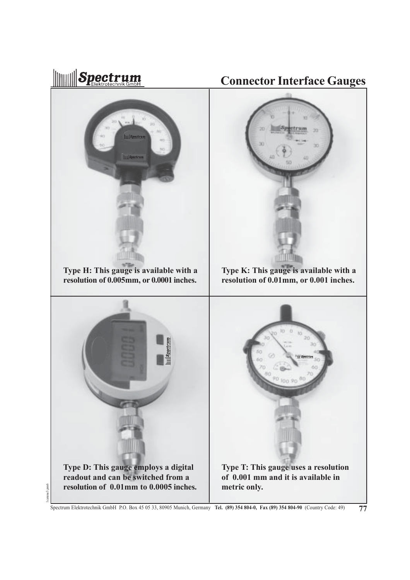

Spectrum Elektrotechnik GmbH P.O. Box 45 05 33, 80905 Munich, Germany **Tel. (89) 354 804-0, Fax (89) 354 804-90** (Country Code: 49) **77**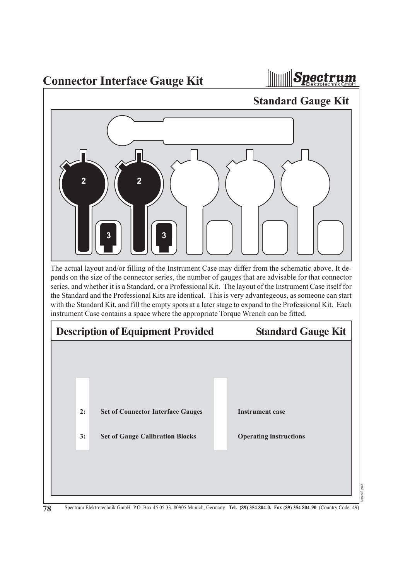**Connector Interface Gauge Kit**



The actual layout and/or filling of the Instrument Case may differ from the schematic above. It depends on the size of the connector series, the number of gauges that are advisable for that connector series, and whether it is a Standard, or a Professional Kit. The layout of the Instrument Case itself for the Standard and the Professional Kits are identical. This is very advantegeous, as someone can start with the Standard Kit, and fill the empty spots at a later stage to expand to the Professional Kit. Each instrument Case contains a space where the appropriate Torque Wrench can be fitted. **3 Standard Gauge Kit 2 2 3 Set of Connector Interface Gauges Set of Gauge Calibration Blocks Instrument case Operating instructions Description of Equipment Provided Standard Gauge Kit 2: 3:**

1catene3.pm6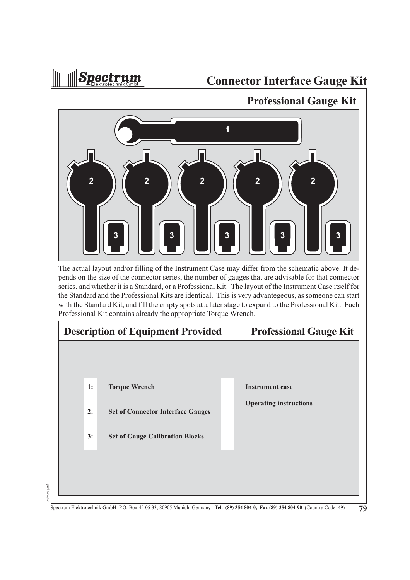**Illuaraill** Spectrum

1catene3.pm6

catene3.pm6

#### **Connector Interface Gauge Kit**

 **Professional Gauge Kit Torque Wrench Set of Connector Interface Gauges Set of Gauge Calibration Blocks Instrument case Operating instructions Description of Equipment Provided Professional Gauge Kit 1: 2: 3:** The actual layout and/or filling of the Instrument Case may differ from the schematic above. It depends on the size of the connector series, the number of gauges that are advisable for that connector series, and whether it is a Standard, or a Professional Kit. The layout of the Instrument Case itself for the Standard and the Professional Kits are identical. This is very advantegeous, as someone can start with the Standard Kit, and fill the empty spots at a later stage to expand to the Professional Kit. Each Professional Kit contains already the appropriate Torque Wrench. **3 1 2 3** 2 **14** 2 **14** 2 **14** 2 **14** 2 **3 | | | | | | 3 | | | | | | |** 3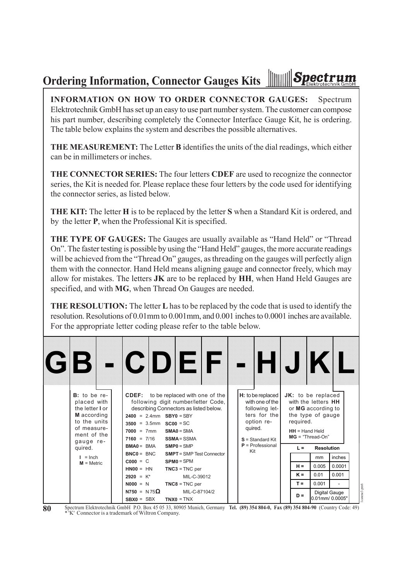#### **INNIVERS Spectrum Ordering Information, Connector Gauges Kits**

**INFORMATION ON HOW TO ORDER CONNECTOR GAUGES:** Spectrum Elektrotechnik GmbH has set up an easy to use part number system. The customer can compose his part number, describing completely the Connector Interface Gauge Kit, he is ordering. The table below explains the system and describes the possible alternatives.

**THE MEASUREMENT:** The Letter **B** identifies the units of the dial readings, which either can be in millimeters or inches.

**THE CONNECTOR SERIES:** The four letters **CDEF** are used to recognize the connector series, the Kit is needed for. Please replace these four letters by the code used for identifying the connector series, as listed below.

**THE KIT:** The letter **H** is to be replaced by the letter **S** when a Standard Kit is ordered, and by the letter **P**, when the Professional Kit is specified.

**THE TYPE OF GAUGES:** The Gauges are usually available as "Hand Held" or "Thread On". The faster testing is possible by using the "Hand Held" gauges, the more accurate readings will be achieved from the "Thread On" gauges, as threading on the gauges will perfectly align them with the connector. Hand Held means aligning gauge and connector freely, which may allow for mistakes. The letters **JK** are to be replaced by **HH**, when Hand Held Gauges are specified, and with **MG**, when Thread On Gauges are needed.

**THE RESOLUTION:** The letter **L** has to be replaced by the code that is used to identify the resolution. Resolutions of 0.01mm to 0.001mm, and 0.001 inches to 0.0001 inches are available. For the appropriate letter coding please refer to the table below.

| (CIB) |                                                                                                                             |  |                                                           |                                                           | - CDEF                                                                                                                                                             |  |         |                                                                                                              |           | HJ KI                                                                                                                          |       |                                                  |  |  |    |        |  |
|-------|-----------------------------------------------------------------------------------------------------------------------------|--|-----------------------------------------------------------|-----------------------------------------------------------|--------------------------------------------------------------------------------------------------------------------------------------------------------------------|--|---------|--------------------------------------------------------------------------------------------------------------|-----------|--------------------------------------------------------------------------------------------------------------------------------|-------|--------------------------------------------------|--|--|----|--------|--|
|       | $B$ : to be re-<br>placed with<br>the letter I or<br>M according<br>to the units<br>of measure-<br>ment of the<br>gauge re- |  | $7000 = 7mm$<br>$7160 = 7/16$                             | $2400 = 2.4$ mm SBY0 = SBY<br>$3500 = 3.5$ mm $SC00 = SC$ | <b>CDEF:</b> to be replaced with one of the<br>following digit number/letter Code,<br>describing Connectors as listed below.<br>$SMAO = SMA$<br><b>SSMA</b> = SSMA |  | quired. | $H:$ to be replaced<br>with one of the<br>following let-<br>ters for the<br>option re-<br>$S =$ Standard Kit | required. | JK: to be replaced<br>with the letters HH<br>or MG according to<br>the type of gauge<br>$HH = Hand$ Held<br>$MG = "Thread-On"$ |       |                                                  |  |  |    |        |  |
|       | quired.                                                                                                                     |  | $P =$ Professional<br>$BMA0 = BMA$<br>$SMP0 = SMP$<br>Kit | $L =$                                                     | <b>Resolution</b>                                                                                                                                                  |  |         |                                                                                                              |           |                                                                                                                                |       |                                                  |  |  |    |        |  |
|       | $I = Inch$                                                                                                                  |  |                                                           |                                                           |                                                                                                                                                                    |  |         |                                                                                                              |           | $BNC0 = BNC$<br>$C000 = C$                                                                                                     |       | <b>SMPT</b> = SMP Test Connector<br>$SPMO = SPM$ |  |  | mm | inches |  |
|       | $M =$ Metric                                                                                                                |  | $HNOO = HN$                                               |                                                           | $TNC3 = TNC$ per                                                                                                                                                   |  | $H =$   | 0.005                                                                                                        | 0.0001    |                                                                                                                                |       |                                                  |  |  |    |        |  |
|       |                                                                                                                             |  |                                                           | $2920 = K^*$                                              | MIL-C-39012                                                                                                                                                        |  |         |                                                                                                              | $K =$     | 0.01                                                                                                                           | 0.001 |                                                  |  |  |    |        |  |
|       |                                                                                                                             |  |                                                           | $N000 = N$                                                | $TNC8 = TNC$ per                                                                                                                                                   |  |         |                                                                                                              | $T =$     | 0.001                                                                                                                          |       |                                                  |  |  |    |        |  |
|       |                                                                                                                             |  | $N750 = N75\Omega$<br>$SBX0 = SBX$                        |                                                           | MIL-C-87104/2<br>$TNX0 = TNX$                                                                                                                                      |  |         |                                                                                                              | $D =$     | Digital Gauge<br>0.01mm/0.0005"                                                                                                |       |                                                  |  |  |    |        |  |

**80** Spectrum Elektrotechnik GmbH P.O. Box 45 05 33, 80905 Munich, Germany **Tel. (89) 354 804-0, Fax (89) 354 804-90** (Country Code: 49) \* 'K' Connector is a trademark of Wiltron Company.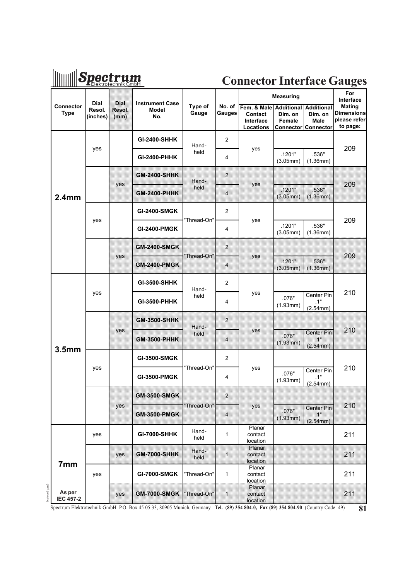### **Spectrum**

#### **Connector Interface Gauges**

|                                           | <b>Dial</b>        | <b>Dial</b>    | <b>Instrument Case</b> |                  |                          |                                                  | <b>Measuring</b>                                  |                                                | For<br>Interface                                        |  |
|-------------------------------------------|--------------------|----------------|------------------------|------------------|--------------------------|--------------------------------------------------|---------------------------------------------------|------------------------------------------------|---------------------------------------------------------|--|
| <b>Connector</b><br><b>Type</b>           | Resol.<br>(inches) | Resol.<br>(mm) | <b>Model</b><br>No.    | Type of<br>Gauge | No. of<br>Gauges         | Fem. & Male<br>Contact<br>Interface<br>Locations | <b>Additional Additional</b><br>Dim. on<br>Female | Dim. on<br>Male<br>Connector Connector         | <b>Mating</b><br>Dimensions<br>please refer<br>to page: |  |
|                                           |                    |                | <b>GI-2400-SHHK</b>    | Hand-            | $\overline{2}$           |                                                  |                                                   |                                                |                                                         |  |
|                                           | yes                |                | <b>GI-2400-PHHK</b>    | held             | 4                        | yes                                              | .1201"<br>(3.05mm)                                | .536"<br>(1.36mm)                              | 209                                                     |  |
|                                           |                    |                | <b>GM-2400-SHHK</b>    | Hand-            | $\overline{\mathbf{z}}$  |                                                  |                                                   |                                                |                                                         |  |
| 2.4 <sub>mm</sub>                         |                    | yes            | <b>GM-2400-PHHK</b>    | held             | 4                        | yes                                              | .1201"<br>$(3.05$ mm $)$                          | 536"<br>$(1.36$ mm $)$                         | 209                                                     |  |
|                                           | yes                |                | <b>GI-2400-SMGK</b>    |                  | 2                        |                                                  |                                                   |                                                |                                                         |  |
|                                           |                    |                | <b>GI-2400-PMGK</b>    | "Thread-On"      | 4                        | yes                                              | .1201"<br>(3.05mm)                                | .536"<br>(1.36mm)                              | 209                                                     |  |
|                                           |                    |                | <b>GM-2400-SMGK</b>    |                  | 2                        |                                                  |                                                   |                                                |                                                         |  |
|                                           |                    | yes            | <b>GM-2400-PMGK</b>    | 'Thread-On"      | 4                        | yes                                              | 1201"<br>(3.05mm)                                 | 536"<br>(1.36mm)                               | 209                                                     |  |
|                                           | yes                |                | GI-3500-SHHK           | Hand-            | 2                        |                                                  |                                                   |                                                |                                                         |  |
|                                           |                    |                | GI-3500-PHHK           | held             | 4                        | yes                                              | .076"<br>(1.93mm)                                 | Center Pin<br>.1"<br>(2.54mm)                  | 210                                                     |  |
|                                           |                    |                | <b>GM-3500-SHHK</b>    | Hand-            | 2                        |                                                  |                                                   |                                                |                                                         |  |
|                                           |                    | yes            | <b>GM-3500-PHHK</b>    | held             | 4                        | yes                                              | 076*<br>$(1.93$ mm)                               | Center Pin<br>$1^{\circ}$<br>$(2.54$ mm $)$    | 210                                                     |  |
| 3.5 <sub>mm</sub>                         |                    |                | <b>GI-3500-SMGK</b>    |                  | $\overline{2}$           |                                                  |                                                   |                                                |                                                         |  |
|                                           | yes                |                | <b>GI-3500-PMGK</b>    | "Thread-On"      | 4                        | yes                                              | .076"<br>(1.93mm)                                 | Center Pin<br>.1"<br>(2.54mm)                  | 210                                                     |  |
|                                           |                    |                | <b>GM-3500-SMGK</b>    |                  | 2                        |                                                  |                                                   |                                                |                                                         |  |
|                                           |                    | yes            | <b>GM-3500-PMGK</b>    | "Thread-On"      | $\overline{\mathcal{A}}$ | yes                                              | 076"<br>(1.93mm)                                  | Center Pin<br>$\mathbf{1}^n$<br>$(2.54$ mm $)$ | 210                                                     |  |
|                                           | yes                |                | <b>GI-7000-SHHK</b>    | Hand-<br>held    | 1                        | Planar<br>contact<br>location                    |                                                   |                                                | 211                                                     |  |
|                                           |                    | yes            | <b>GM-7000-SHHK</b>    | Hand-<br>held    | 1                        | Planar<br>contact<br>location                    |                                                   |                                                | 211                                                     |  |
| 7mm                                       | yes                |                | <b>GI-7000-SMGK</b>    | "Thread-On"      | 1                        | Planar<br>contact<br>location                    |                                                   |                                                | 211                                                     |  |
| catene3.pm6<br>As per<br><b>IEC 457-2</b> |                    | yes            | <b>GM-7000-SMGK</b>    | "Thread-On"      | $\mathbf{1}$             | Planar<br>contact<br>location                    |                                                   |                                                | 211                                                     |  |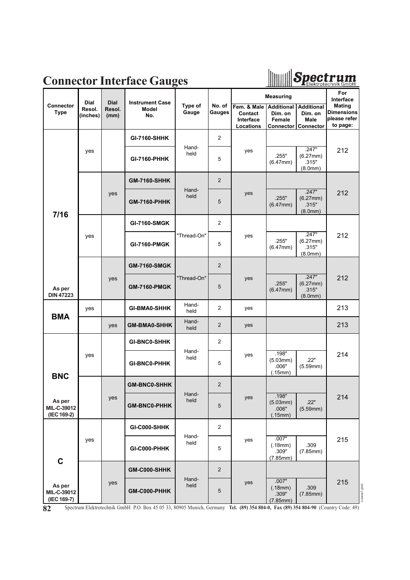



|                                      | <b>Dial</b>        | <b>Dial</b>    | <b>Instrument Case</b> |                  |                  |                                                  | <b>Measuring</b>                       |                                                                           | For<br>Interface                                               |
|--------------------------------------|--------------------|----------------|------------------------|------------------|------------------|--------------------------------------------------|----------------------------------------|---------------------------------------------------------------------------|----------------------------------------------------------------|
| <b>Connector</b><br><b>Type</b>      | Resol.<br>(inches) | Resol.<br>(mm) | <b>Model</b><br>No.    | Type of<br>Gauge | No. of<br>Gauges | Fem. & Male<br>Contact<br>Interface<br>Locations | <b>Additional</b><br>Dim. on<br>Female | <b>Additional</b><br>Dim. on<br><b>Male</b><br><b>Connector Connector</b> | <b>Mating</b><br><b>Dimensions</b><br>please refer<br>to page: |
|                                      |                    |                | <b>GI-7160-SHHK</b>    |                  | $\overline{2}$   |                                                  |                                        |                                                                           |                                                                |
|                                      | yes                |                | <b>GI-7160-PHHK</b>    | Hand-<br>held    | 5                | yes                                              | .255"<br>(6.47mm)                      | .247"<br>(6.27mm)<br>.315"<br>(8.0mm)                                     | 212                                                            |
|                                      |                    |                | <b>GM-7160-SHHK</b>    |                  | $\boldsymbol{2}$ |                                                  |                                        |                                                                           |                                                                |
|                                      |                    | yes            | <b>GM-7160-PHHK</b>    | Hand-<br>held    | 5                | yes                                              | 255*<br>$(6.47$ mm $)$                 | 247"<br>$(6.27$ mm $)$<br>315"<br>(8.0mm)                                 | 212                                                            |
| 7/16                                 |                    |                | <b>GI-7160-SMGK</b>    |                  | 2                |                                                  |                                        |                                                                           |                                                                |
|                                      | yes                |                | <b>GI-7160-PMGK</b>    | "Thread-On"      | 5                | yes                                              | .255"<br>(6.47mm)                      | .247"<br>(6.27mm)<br>.315"<br>(8.0mm)                                     | 212                                                            |
|                                      |                    |                | <b>GM-7160-SMGK</b>    |                  | 2                |                                                  |                                        |                                                                           |                                                                |
|                                      |                    | yes            | <b>GM-7160-PMGK</b>    | "Thread-On"      | 5                | yes                                              | 255"                                   | 247"<br>$(6.27$ mm $)$                                                    | 212                                                            |
| As per<br><b>DIN 47223</b>           |                    |                |                        |                  |                  |                                                  | $(6.47$ mm)                            | 315"<br>(8.0 <sub>mm</sub> )                                              |                                                                |
|                                      | yes                |                | <b>GI-BMA0-SHHK</b>    | Hand-<br>held    | $\overline{2}$   | yes                                              |                                        |                                                                           | 213                                                            |
| <b>BMA</b>                           |                    | yes            | <b>GM-BMA0-SHHK</b>    | Hand-<br>held    | $\overline{2}$   | yes                                              |                                        |                                                                           | 213                                                            |
|                                      |                    |                | <b>GI-BNC0-SHHK</b>    |                  | 2                |                                                  |                                        |                                                                           |                                                                |
| <b>BNC</b>                           | yes                |                | <b>GI-BNC0-PHHK</b>    | Hand-<br>held    | 5                | yes                                              | .198"<br>(5.03mm)<br>.006"<br>(.15mm)  | .22"<br>(5.59mm)                                                          | 214                                                            |
|                                      |                    |                | <b>GM-BNC0-SHHK</b>    |                  | 2                |                                                  |                                        |                                                                           |                                                                |
| As per<br>MIL-C-39012<br>(IEC 169-2) |                    | yes            | <b>GM-BNC0-PHHK</b>    | Hand-<br>held    | 5                | yes                                              | 198"<br>(5.03mm)<br>.006"<br>(15mm)    | $22^{\circ}$<br>(5.59mm)                                                  | 214                                                            |
|                                      |                    |                | GI-C000-SHHK           |                  | $\mathbf{2}$     |                                                  |                                        |                                                                           |                                                                |
|                                      | yes                | GI-C000-PHHK   | Hand-<br>held          | 5                | yes              | .007"<br>(.18mm)<br>.309"<br>(7.85mm)            | .309<br>(7.85mm)                       | 215                                                                       |                                                                |
| $\mathbf C$                          |                    |                | GM-C000-SHHK           |                  | 2                |                                                  |                                        |                                                                           |                                                                |
| As per<br>MIL-C-39012<br>(IEC 169-7) |                    | yes            | GM-C000-PHHK           | Hand-<br>held    | 5                | yes                                              | 007"<br>(.18mm)<br>.309"<br>(7.85mm)   | 309<br>(7.85mm)                                                           | 215<br>l catene3.pm6                                           |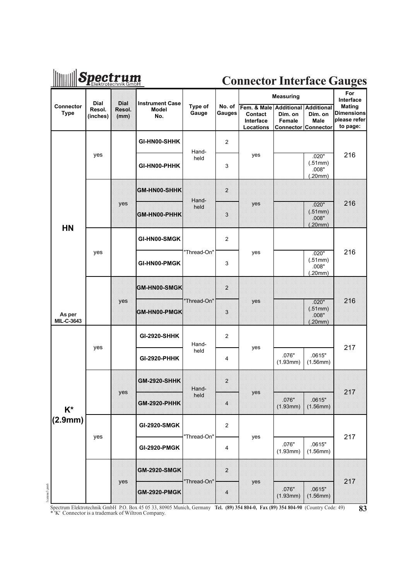### **Mullet Spectrum**

#### **Connector Interface Gauges**

|              |                                 | <b>Dial</b>        | Dial           | <b>Instrument Case</b>  |                  |                          |                                                             | <b>Measuring</b>                                       |                                             | For<br>Interface                                               |
|--------------|---------------------------------|--------------------|----------------|-------------------------|------------------|--------------------------|-------------------------------------------------------------|--------------------------------------------------------|---------------------------------------------|----------------------------------------------------------------|
|              | <b>Connector</b><br><b>Type</b> | Resol.<br>(inches) | Resol.<br>(mm) | <b>Model</b><br>No.     | Type of<br>Gauge | No. of<br>Gauges         | Fem. & Male Additional<br>Contact<br>Interface<br>Locations | Dim. on<br><b>Female</b><br><b>Connector Connector</b> | <b>Additional</b><br>Dim. on<br><b>Male</b> | <b>Mating</b><br><b>Dimensions</b><br>please refer<br>to page: |
|              |                                 |                    |                | GI-HN00-SHHK            | Hand-            | 2                        |                                                             |                                                        |                                             |                                                                |
|              |                                 | yes                |                | GI-HN00-PHHK            | held             | 3                        | yes                                                         |                                                        | .020"<br>(.51mm)<br>.008"<br>(.20mm)        | 216                                                            |
|              |                                 |                    |                | GM-HN00-SHHK            |                  | 2                        |                                                             |                                                        |                                             |                                                                |
|              |                                 |                    | yes            | GM-HN00-PHHK            | Hand-<br>held    | 3                        | yes                                                         |                                                        | 020"<br>(.51mm)<br>008"<br>(.20mm)          | 216                                                            |
|              | <b>HN</b>                       |                    |                | GI-HN00-SMGK            |                  | $\overline{2}$           |                                                             |                                                        |                                             |                                                                |
|              |                                 | yes                |                | GI-HN00-PMGK            | "Thread-On"      | 3                        | yes                                                         |                                                        | .020"<br>(.51mm)<br>.008"<br>(.20mm)        | 216                                                            |
|              |                                 |                    |                | GM-HN00-SMGK            |                  | 2                        |                                                             |                                                        |                                             |                                                                |
|              | As per<br><b>MIL-C-3643</b>     |                    | yes            | GM-HN00-PMGK            | 'Thread-On"      | 3                        | yes                                                         |                                                        | 020"<br>(51mm)<br>$008"$                    | 216                                                            |
|              |                                 | yes                |                | <b>GI-2920-SHHK</b>     | Hand-            | $\overline{2}$           | yes                                                         |                                                        | (.20mm)                                     | 217                                                            |
|              |                                 |                    |                | <b>GI-2920-PHHK</b>     | held             | 4                        |                                                             | .076"<br>(1.93mm)                                      | .0615"<br>(1.56mm)                          |                                                                |
|              |                                 |                    | yes            | <b>GM-2920-SHHK</b>     | Hand-<br>held    | $\overline{2}$           | yes                                                         |                                                        |                                             | 217                                                            |
|              | $K^*$<br>(2.9mm)                |                    |                | GM-2920-PHHK            |                  | $\overline{\mathbf{4}}$  |                                                             | 076"<br>(1.93mm)                                       | 0615"<br>$(1.56$ mm $)$                     |                                                                |
|              |                                 |                    |                | <b>GI-2920-SMGK</b>     |                  | $\overline{\mathbf{c}}$  |                                                             |                                                        |                                             |                                                                |
|              |                                 | yes                |                | <b>GI-2920-PMGK</b>     | "Thread-On"      | 4                        | yes                                                         | .076"<br>(1.93mm)                                      | .0615"<br>(1.56mm)                          | 217                                                            |
|              |                                 |                    |                | <b>GM-2920-SMGK</b>     |                  | $\overline{\phantom{a}}$ |                                                             |                                                        |                                             |                                                                |
| lcatene3.pm6 |                                 |                    | yes            | <b>GM-2920-PMGK</b><br> | "Thread-On"      | $\overline{\mathbf{A}}$  | yes                                                         | 076"<br>(1.93mm)                                       | 0615"<br>(1.56mm)                           | 217                                                            |

Spectrum Elektrotechnik GmbH P.O. Box 45 05 33, 80905 Munich, Germany **Tel. (89) 354 804-0, Fax (89) 354 804-90** (Country Code: 49) **83** \* 'K' Connector is a trademark of Wiltron Company.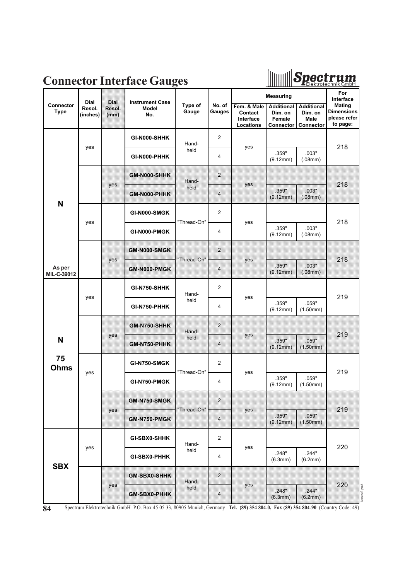

#### **Connector Interface Gauges**

|                          | <b>Dial</b>        | <b>Dial</b>    | <b>Instrument Case</b> |                  |                     |                                                  | <b>Measuring</b>                                           |                                                          | For<br>Interface                                               |  |  |
|--------------------------|--------------------|----------------|------------------------|------------------|---------------------|--------------------------------------------------|------------------------------------------------------------|----------------------------------------------------------|----------------------------------------------------------------|--|--|
| Connector<br><b>Type</b> | Resol.<br>(inches) | Resol.<br>(mm) | Model<br>No.           | Type of<br>Gauge | No. of<br>Gauges    | Fem. & Male<br>Contact<br>Interface<br>Locations | <b>Additional</b><br>Dim. on<br>Female<br><b>Connector</b> | <b>Additional</b><br>Dim. on<br><b>Male</b><br>Connector | <b>Mating</b><br><b>Dimensions</b><br>please refer<br>to page: |  |  |
|                          |                    |                | GI-N000-SHHK           | Hand-            | $\overline{2}$      |                                                  |                                                            |                                                          |                                                                |  |  |
|                          | yes                |                | GI-N000-PHHK           | held             | 4                   | yes                                              | .359"<br>(9.12mm)                                          | .003"<br>(.08mm)                                         | 218                                                            |  |  |
|                          |                    |                | GM-N000-SHHK           | Hand-            | 2                   |                                                  |                                                            |                                                          |                                                                |  |  |
| N                        |                    | yes            | GM-N000-PHHK           | held             | 4                   | yes                                              | .359"<br>(9.12mm)                                          | 003"<br>(08mm)                                           | 218                                                            |  |  |
|                          |                    | GI-N000-SMGK   |                        | $\overline{2}$   |                     |                                                  | .359"<br>.003"                                             |                                                          |                                                                |  |  |
|                          | yes                |                | GI-N000-PMGK           | "Thread-On"      | 4                   | yes                                              | (9.12mm)                                                   | (.08mm)                                                  | 218                                                            |  |  |
|                          |                    | yes            | GMEN000-SMGK           | "Thread-On"      | $\overline{2}$      | yes                                              |                                                            |                                                          | 218                                                            |  |  |
| As per<br>MIL-C-39012    |                    |                | GM-N000-PMGK           |                  | $\overline{\bf{4}}$ |                                                  | 359"<br>(9.12mm)                                           | 003"<br>(08mm)                                           |                                                                |  |  |
|                          | yes                |                | GI-N750-SHHK           | Hand-            | $\overline{2}$      | yes                                              |                                                            |                                                          | 219                                                            |  |  |
|                          |                    |                | GI-N750-PHHK           | held             | 4                   |                                                  | .359"<br>(9.12mm)                                          | .059"<br>(1.50mm)                                        |                                                                |  |  |
|                          |                    | yes            | GM-N750-SHHK           | Hand-            | 2                   | yes                                              |                                                            |                                                          | 219                                                            |  |  |
| N                        |                    |                | <b>GM-N750-PHHK</b>    | held             | 4                   |                                                  | 359"<br>(9.12mm)                                           | 059"<br>(1.50mm)                                         |                                                                |  |  |
| 75<br><b>Ohms</b>        | yes                |                | <b>GI-N750-SMGK</b>    | "Thread-On"      | $\overline{2}$      | yes                                              |                                                            |                                                          | 219                                                            |  |  |
|                          |                    |                | GI-N750-PMGK           |                  | 4                   |                                                  | .359"<br>(9.12mm)                                          | .059"<br>(1.50mm)                                        |                                                                |  |  |
|                          |                    |                | GM-N750-SMGK           |                  | $\overline{2}$      |                                                  |                                                            |                                                          |                                                                |  |  |
|                          |                    | yes            | GM-N750-PMGK           | "Thread-On"      | 4                   | yes                                              | .359"<br>(9.12mm)                                          | .059"<br>(1.50mm)                                        | 219                                                            |  |  |
|                          |                    |                | GI-SBX0-SHHK           | Hand-            | $\boldsymbol{2}$    |                                                  |                                                            |                                                          | 220                                                            |  |  |
|                          | yes                |                | GI-SBX0-PHHK           | held             | 4                   | yes                                              | .248"<br>(6.3mm)                                           | .244"<br>(6.2mm)                                         |                                                                |  |  |
| <b>SBX</b>               |                    |                | <b>GM-SBX0-SHHK</b>    | Hand-            | 2                   | yes                                              |                                                            |                                                          | 220                                                            |  |  |
|                          |                    | yes            | <b>GM-SBX0-PHHK</b>    | held             | $\overline{4}$      |                                                  | 248"<br>(6.3mm)                                            | 244"<br>(6.2mm)                                          | lcatene3.pm6                                                   |  |  |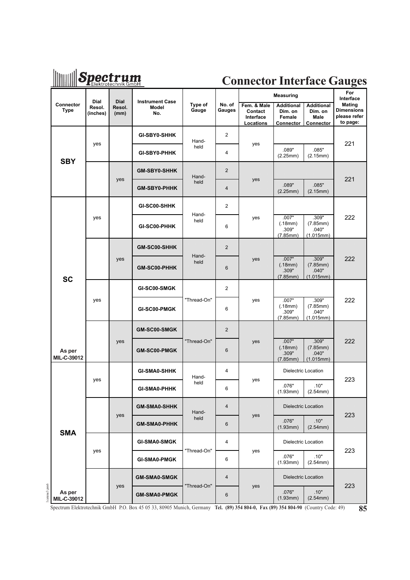### **Spectrum**

#### **Connector Interface Gauges**

|             |                          |                                   |                        |                                         |                  |                     |                                                  | <b>Measuring</b>                                    |                                                   | For<br>Interface                                               |  |
|-------------|--------------------------|-----------------------------------|------------------------|-----------------------------------------|------------------|---------------------|--------------------------------------------------|-----------------------------------------------------|---------------------------------------------------|----------------------------------------------------------------|--|
|             | Connector<br><b>Type</b> | <b>Dial</b><br>Resol.<br>(inches) | Dial<br>Resol.<br>(mm) | <b>Instrument Case</b><br>Model<br>No.  | Type of<br>Gauge | No. of<br>Gauges    | Fem. & Male<br>Contact<br>Interface<br>Locations | <b>Additional</b><br>Dim. on<br>Female<br>Connector | <b>Additional</b><br>Dim. on<br>Male<br>Connector | <b>Mating</b><br><b>Dimensions</b><br>please refer<br>to page: |  |
|             |                          |                                   |                        | GI-SBY0-SHHK                            | Hand-            | $\overline{2}$      |                                                  |                                                     |                                                   |                                                                |  |
|             | <b>SBY</b>               | yes                               |                        | GI-SBY0-PHHK                            | held             | 4                   | yes                                              | .089"<br>(2.25mm)                                   | .085"<br>(2.15mm)                                 | 221                                                            |  |
|             |                          |                                   |                        | <b>GM-SBY0-SHHK</b>                     | Hand-            | 2                   |                                                  |                                                     |                                                   | 221                                                            |  |
|             |                          |                                   | yes                    | GM-SBY0-PHHK                            | held             | 4                   | yes                                              | 089"<br>(2.25mm)                                    | .085"<br>(2.15mm)                                 |                                                                |  |
|             |                          |                                   |                        | GI-SC00-SHHK                            |                  | 2                   |                                                  |                                                     |                                                   |                                                                |  |
|             |                          | yes                               |                        | GI-SC00-PHHK                            | Hand-<br>held    | 6                   | yes                                              | .007"<br>(.18mm)<br>.309"<br>(7.85mm)               | .309"<br>(7.85mm)<br>.040"<br>(1.015mm)           | 222                                                            |  |
|             |                          |                                   |                        | GM-SC00-SHHK                            |                  | $\overline{z}$      |                                                  |                                                     |                                                   |                                                                |  |
|             | <b>SC</b>                |                                   | ves                    | <b>GM-SC00-PHHK</b>                     | Hand-<br>held    | 6                   | yes                                              | .007"<br>(18mm)<br>309"<br>$(7.85$ mm $)$           | .309"<br>(7.85mm)<br>040"<br>(1.015mm)            | 222                                                            |  |
|             |                          |                                   |                        | GI-SC00-SMGK                            |                  | 2                   |                                                  |                                                     |                                                   |                                                                |  |
|             |                          | yes                               |                        | GI-SC00-PMGK                            | "Thread-On"      | 6                   | yes                                              | .007"<br>(.18mm)<br>.309"<br>(7.85mm)               | .309"<br>(7.85mm)<br>.040"<br>(1.015mm)           | 222                                                            |  |
|             |                          |                                   |                        | GM-SC00-SMGK                            |                  | 2                   |                                                  |                                                     |                                                   |                                                                |  |
|             | As per<br>MIL-C-39012    |                                   | yes                    | GM-SC00-PMGK                            | "Thread-On"      | $\ddot{\mathbf{6}}$ | yes                                              | .007"<br>(.18mm)<br>309"<br>$(7.85$ mm $)$          | 309"<br>$(7.85 \text{mm})$<br>040"<br>(1.015mm)   | 222                                                            |  |
|             |                          |                                   |                        | GI-SMA0-SHHK                            | Hand-            | 4                   | <b>Dielectric Location</b>                       |                                                     |                                                   |                                                                |  |
|             |                          | yes                               |                        | <b>GI-SMA0-PHHK</b>                     | held             | 6                   | yes                                              | .076"<br>(1.93mm)                                   | .10"<br>(2.54mm)                                  | 223                                                            |  |
|             |                          |                                   |                        | <b>GM-SMA0-SHHK</b>                     | Hand-            | 4                   |                                                  | Dielectric Location                                 |                                                   |                                                                |  |
|             | <b>SMA</b>               |                                   | yes                    | <b>GM-SMA0-PHHK</b>                     | held             | 6                   | yes                                              | .076''<br>(1.93mm)                                  | .10"<br>$(2.54$ mm $)$                            | 223                                                            |  |
|             |                          |                                   |                        | <b>GI-SMA0-SMGK</b>                     |                  | 4                   |                                                  | Dielectric Location                                 |                                                   |                                                                |  |
|             |                          | yes                               |                        | <b>GI-SMA0-PMGK</b>                     | "Thread-On"      | 6                   | yes                                              | .076"<br>(1.93mm)                                   | .10"<br>(2.54mm)                                  | 223                                                            |  |
|             |                          |                                   |                        | <b>GM-SMA0-SMGK</b>                     |                  | 4                   |                                                  |                                                     | Dielectric Location                               |                                                                |  |
| catene3.pm6 | As per<br>MIL-C-39012    | $\mathbf{H}$                      | yes                    | <b>GM-SMA0-PMGK</b><br>15.05.22.0000531 | "Thread-On"      | 6                   | yes                                              | .076''<br>(1.93mm)                                  | 10 <sup>n</sup><br>$(2.54$ mm $)$                 | 223                                                            |  |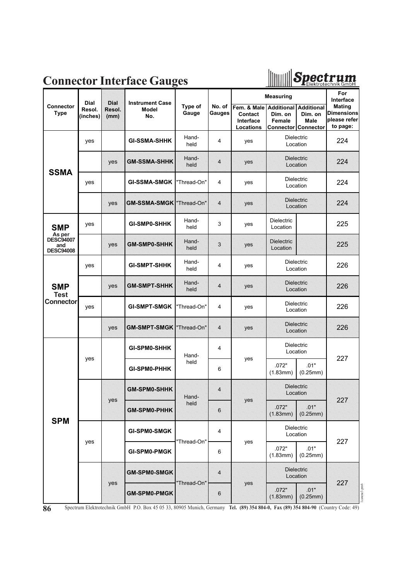### **Connector Interface Gauges**



|                                                |                            |                               |                                               |                  |                  |                                                  | <b>Measuring</b>                       |                                                                    | For<br>Interface                                               |
|------------------------------------------------|----------------------------|-------------------------------|-----------------------------------------------|------------------|------------------|--------------------------------------------------|----------------------------------------|--------------------------------------------------------------------|----------------------------------------------------------------|
| <b>Connector</b><br><b>Type</b>                | Dial<br>Resol.<br>(inches) | <b>Dial</b><br>Resol.<br>(mm) | <b>Instrument Case</b><br><b>Model</b><br>No. | Type of<br>Gauge | No. of<br>Gauges | Fem. & Male<br>Contact<br>Interface<br>Locations | <b>Additional</b><br>Dim. on<br>Female | <b>Additional</b><br>Dim. on<br>Male<br><b>Connector Connector</b> | <b>Mating</b><br><b>Dimensions</b><br>please refer<br>to page: |
|                                                | yes                        |                               | <b>GI-SSMA-SHHK</b>                           | Hand-<br>held    | 4                | yes                                              | Dielectric<br>Location                 |                                                                    | 224                                                            |
| <b>SSMA</b>                                    |                            | yes                           | GMESSMA SHHK                                  | Hand-<br>held    | 4                | yes                                              | Dielectric<br>Location                 |                                                                    | 224                                                            |
|                                                | yes                        |                               | <b>GI-SSMA-SMGK</b>                           | "Thread-On"      | 4                | yes                                              | <b>Dielectric</b><br>Location          |                                                                    | 224                                                            |
|                                                |                            | yes                           | <b>GM-SSMA-SMGK  Thread-On'</b>               |                  | 4                | yes                                              | Dielectric<br>Location                 |                                                                    | 224                                                            |
| <b>SMP</b>                                     | yes                        |                               | <b>GI-SMP0-SHHK</b>                           | Hand-<br>held    | 3                | yes                                              | <b>Dielectric</b><br>Location          |                                                                    | 225                                                            |
| As per<br>DESC94007<br>and<br><b>DESC94008</b> |                            | yes                           | <b>GM-SMP0-SHHK</b>                           | Hand-<br>held    | 3                | yes                                              | Dielectric<br>Location                 |                                                                    | 225                                                            |
|                                                | yes                        |                               | <b>GI-SMPT-SHHK</b>                           | Hand-<br>held    | 4                | yes                                              | Dielectric<br>Location                 |                                                                    | 226                                                            |
| <b>SMP</b><br><b>Test</b>                      |                            | yes                           | <b>GM-SMPT-SHHK</b>                           | Hand-<br>held    | 4                | yes                                              | Dielectric<br>Location                 |                                                                    | 226                                                            |
| <b>Connector</b>                               | yes                        |                               | <b>GI-SMPT-SMGK</b>                           | "Thread-On"      | 4                | yes                                              |                                        | Dielectric<br>Location                                             |                                                                |
|                                                |                            | yes                           | <b>GM-SMPT-SMGK</b>                           | "Thread-On"      | 4                | yes                                              | Dielectric<br>Location                 |                                                                    | 226                                                            |
|                                                |                            |                               | <b>GI-SPM0-SHHK</b>                           | Hand-            | 4                |                                                  | Dielectric<br>Location                 |                                                                    | 227                                                            |
|                                                | yes                        |                               | <b>GI-SPM0-PHHK</b>                           | held             | 6                | yes                                              | .01"<br>.072"<br>(1.83mm)<br>(0.25mm)  |                                                                    |                                                                |
|                                                |                            |                               | <b>GM-SPM0-SHHK</b>                           | Hand-            | 4                |                                                  | Dielectric<br>Location                 |                                                                    | 227                                                            |
| <b>SPM</b>                                     |                            | yes                           | GM-SPM0-PHHK                                  | held             | 6                | yes                                              | 072"<br>(1.83mm)                       | 01<br>(0.25mm)                                                     |                                                                |
|                                                |                            |                               | <b>GI-SPM0-SMGK</b>                           | "Thread-On"      | 4                |                                                  | Dielectric<br>Location                 |                                                                    | 227                                                            |
|                                                | yes                        |                               | <b>GI-SPM0-PMGK</b>                           |                  | 6                | yes                                              | .072"<br>(1.83mm)                      | .01"<br>(0.25mm)                                                   |                                                                |
|                                                |                            |                               | <b>GM-SPM0-SMGK</b>                           | "Thread-On"      | 4                |                                                  | <b>Dielectric</b><br>Location          |                                                                    |                                                                |
|                                                |                            | yes                           | <b>GM-SPM0-PMGK</b>                           |                  | $\boldsymbol{6}$ | yes                                              | 072"<br>(1.83mm)                       | .01"<br>$(0.25$ mm)                                                | 227<br>l catene3.pm6                                           |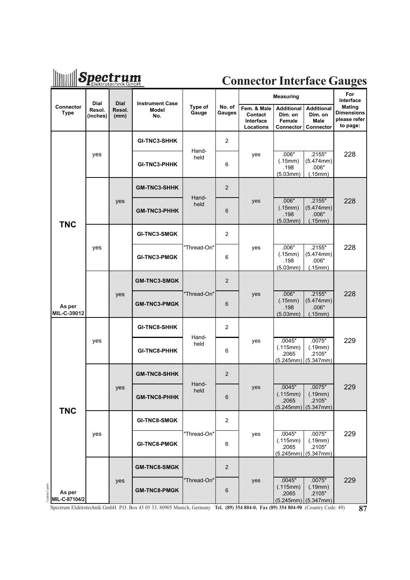## Spectrum

### **Connector Interface Gauges**

|                                        |                                   |                        |                                                                                                                                                          |                  |                         |                                                  | <b>Measuring</b>                                    |                                                          | For<br>Interface                                        |
|----------------------------------------|-----------------------------------|------------------------|----------------------------------------------------------------------------------------------------------------------------------------------------------|------------------|-------------------------|--------------------------------------------------|-----------------------------------------------------|----------------------------------------------------------|---------------------------------------------------------|
| Connector<br><b>Type</b>               | <b>Dial</b><br>Resol.<br>(inches) | Dial<br>Resol.<br>(mm) | <b>Instrument Case</b><br>Model<br>No.                                                                                                                   | Type of<br>Gauge | No. of<br>Gauges        | Fem. & Male<br>Contact<br>Interface<br>Locations | <b>Additional</b><br>Dim. on<br>Female<br>Connector | <b>Additional</b><br>Dim. on<br><b>Male</b><br>Connector | Mating<br><b>Dimensions</b><br>please refer<br>to page: |
|                                        |                                   |                        | <b>GI-TNC3-SHHK</b>                                                                                                                                      |                  | $\overline{c}$          |                                                  |                                                     |                                                          |                                                         |
|                                        | yes                               |                        | <b>GI-TNC3-PHHK</b>                                                                                                                                      | Hand-<br>held    | 6                       | yes                                              | .006"<br>(.15mm)<br>.198<br>(5.03mm)                | .2155"<br>(5.474mm)<br>.006"<br>(.15mm)                  | 228                                                     |
|                                        |                                   |                        | <b>GM-TNC3-SHHK</b>                                                                                                                                      |                  | $\overline{z}$          |                                                  |                                                     |                                                          |                                                         |
| <b>TNC</b>                             |                                   | yes                    | GM-TNC3-PHHK                                                                                                                                             | Hand-<br>held    | 6                       | yes                                              | .006"<br>(15mm)<br>198<br>(5.03mm)                  | 2155"<br>$(5.474$ mm)<br>006"<br>(15mm)                  | 228                                                     |
|                                        |                                   |                        | <b>GI-TNC3-SMGK</b>                                                                                                                                      |                  | 2                       |                                                  |                                                     |                                                          |                                                         |
|                                        | yes                               |                        | <b>GI-TNC3-PMGK</b>                                                                                                                                      | "Thread-On"      | 6                       | yes                                              | .006"<br>(.15mm)<br>.198<br>(5.03mm)                | .2155"<br>(5.474mm)<br>.006"<br>(.15mm)                  | 228                                                     |
|                                        |                                   |                        | <b>GM-TNC3-SMGK</b>                                                                                                                                      |                  | $\overline{\mathbf{z}}$ |                                                  |                                                     |                                                          |                                                         |
| As per<br>MIL-C-39012                  |                                   | yes                    | <b>GM-TNC3-PMGK</b>                                                                                                                                      | 'Thread-On'      | 6                       | yes                                              | 006"<br>(.15mm)<br>198<br>(5.03mm)                  | 2155"<br>$(5.474$ mm)<br>006"<br>.15mm)                  | 228                                                     |
|                                        |                                   |                        | <b>GI-TNC8-SHHK</b>                                                                                                                                      |                  | $\overline{2}$          |                                                  |                                                     |                                                          |                                                         |
|                                        | yes                               |                        | <b>GI-TNC8-PHHK</b>                                                                                                                                      | Hand-<br>held    | 6                       | yes                                              | .0045"<br>(.115mm)<br>.2065<br>(5.245mm)            | .0075"<br>(.19mm)<br>.2105"<br>(5.347mm)                 | 229                                                     |
|                                        |                                   |                        | <b>GM-TNC8-SHHK</b>                                                                                                                                      |                  | $\overline{\mathbf{c}}$ |                                                  |                                                     |                                                          |                                                         |
| <b>TNC</b>                             |                                   | yes                    | GMETNO8-RHHK                                                                                                                                             | Hand-<br>held    | 6                       | yes                                              | 0045"<br>(115mm)<br>2065                            | 0075"<br>(.19mm)<br>2105"<br>(5.245mm)(5.347mm)          | 229                                                     |
|                                        |                                   |                        | GI-TNC8-SMGK                                                                                                                                             |                  | $\overline{\mathbf{c}}$ |                                                  |                                                     |                                                          |                                                         |
|                                        | yes                               |                        | <b>GI-TNC8-PMGK</b>                                                                                                                                      | "Thread-On"      | 6                       | yes                                              | .0045"<br>(.115mm)<br>.2065<br>(5.245mm)            | .0075"<br>(.19mm)<br>.2105"<br>(5.347mm)                 | 229                                                     |
|                                        |                                   | yes                    | <b>GM-TNC8-SMGK</b>                                                                                                                                      | "Thread-On"      | 2                       | yes                                              | .0045"<br>(.115mm)                                  | 0075"<br>(19mm)                                          | 229                                                     |
| catene3.pm6<br>As per<br>MIL-C-87104/2 |                                   |                        | <b>GM-TNC8-PMGK</b><br>Spectrum Elektrotechnik GmbH P.O. Box 45 05 33, 80905 Munich, Germany Tel. (89) 354 804-0, Fax (89) 354 804-90 (Country Code: 49) |                  | 6                       |                                                  | 2065                                                | 2105"<br>(5.245mm) (5.347mm)                             | 87                                                      |